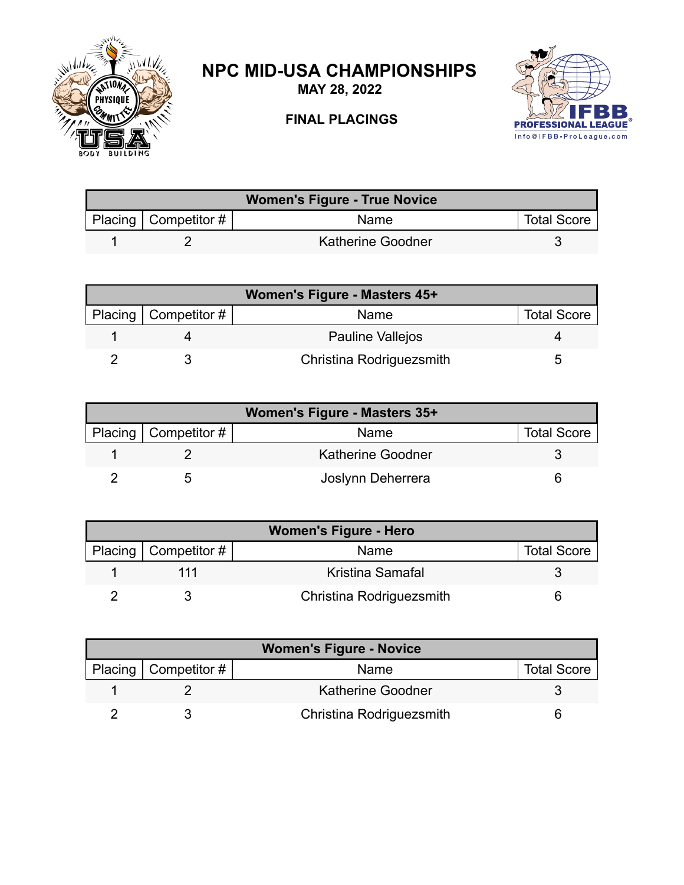

## **NPC MID-USA CHAMPIONSHIPS**

**MAY 28, 2022**

## **FINAL PLACINGS**



| <b>Women's Figure - True Novice</b> |                          |                          |                    |  |
|-------------------------------------|--------------------------|--------------------------|--------------------|--|
|                                     | Placing   Competitor $#$ | Name                     | <b>Total Score</b> |  |
|                                     |                          | <b>Katherine Goodner</b> |                    |  |

| Women's Figure - Masters 45+ |                        |                          |                    |
|------------------------------|------------------------|--------------------------|--------------------|
|                              | Placing   Competitor # | Name                     | <b>Total Score</b> |
|                              |                        | <b>Pauline Vallejos</b>  |                    |
|                              |                        | Christina Rodriguezsmith | G                  |

| Women's Figure - Masters 35+ |                        |                          |                    |
|------------------------------|------------------------|--------------------------|--------------------|
|                              | Placing   Competitor # | Name                     | <b>Total Score</b> |
|                              |                        | <b>Katherine Goodner</b> |                    |
|                              |                        | Joslynn Deherrera        |                    |

| <b>Women's Figure - Hero</b> |                        |                          |                    |  |
|------------------------------|------------------------|--------------------------|--------------------|--|
|                              | Placing   Competitor # | <b>Name</b>              | <b>Total Score</b> |  |
|                              |                        | Kristina Samafal         |                    |  |
|                              |                        | Christina Rodriguezsmith |                    |  |

| <b>Women's Figure - Novice</b> |                        |                          |                    |
|--------------------------------|------------------------|--------------------------|--------------------|
|                                | Placing   Competitor # | Name                     | <b>Total Score</b> |
|                                |                        | <b>Katherine Goodner</b> |                    |
|                                |                        | Christina Rodriguezsmith |                    |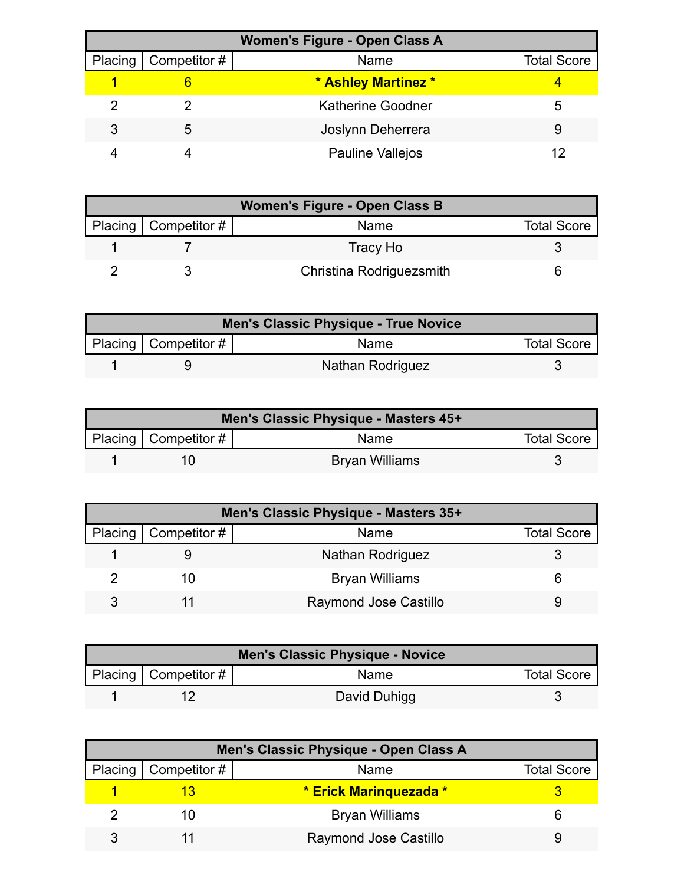| <b>Women's Figure - Open Class A</b> |              |                          |                    |  |
|--------------------------------------|--------------|--------------------------|--------------------|--|
| Placing                              | Competitor # | Name                     | <b>Total Score</b> |  |
|                                      |              | * Ashley Martinez *      |                    |  |
|                                      |              | <b>Katherine Goodner</b> | 5                  |  |
| 3                                    | 5            | Joslynn Deherrera        |                    |  |
|                                      |              | Pauline Vallejos         |                    |  |

| <b>Women's Figure - Open Class B</b> |                        |                          |                    |  |
|--------------------------------------|------------------------|--------------------------|--------------------|--|
|                                      | Placing   Competitor # | Name                     | <b>Total Score</b> |  |
|                                      |                        | Tracy Ho                 |                    |  |
|                                      |                        | Christina Rodriguezsmith |                    |  |

| <b>Men's Classic Physique - True Novice</b>               |  |                  |  |  |
|-----------------------------------------------------------|--|------------------|--|--|
| Placing   Competitor $\#$  <br><b>Total Score</b><br>Name |  |                  |  |  |
|                                                           |  | Nathan Rodriguez |  |  |

| Men's Classic Physique - Masters 45+ |                            |                       |                    |  |
|--------------------------------------|----------------------------|-----------------------|--------------------|--|
|                                      | Placing   Competitor # $ $ | Name                  | <b>Total Score</b> |  |
|                                      |                            | <b>Bryan Williams</b> |                    |  |

| Men's Classic Physique - Masters 35+ |                        |                       |                    |  |
|--------------------------------------|------------------------|-----------------------|--------------------|--|
|                                      | Placing   Competitor # | Name                  | <b>Total Score</b> |  |
|                                      |                        | Nathan Rodriguez      |                    |  |
|                                      | 10                     | <b>Bryan Williams</b> |                    |  |
|                                      |                        | Raymond Jose Castillo |                    |  |

| <b>Men's Classic Physique - Novice</b> |                    |              |  |  |
|----------------------------------------|--------------------|--------------|--|--|
| Placing   Competitor $\#$              | <b>Total Score</b> |              |  |  |
|                                        |                    | David Duhigg |  |  |

| Men's Classic Physique - Open Class A |                              |                        |                    |  |
|---------------------------------------|------------------------------|------------------------|--------------------|--|
|                                       | Placing $\vert$ Competitor # | Name                   | <b>Total Score</b> |  |
|                                       |                              | * Erick Marinquezada * |                    |  |
|                                       |                              | <b>Bryan Williams</b>  |                    |  |
|                                       |                              | Raymond Jose Castillo  |                    |  |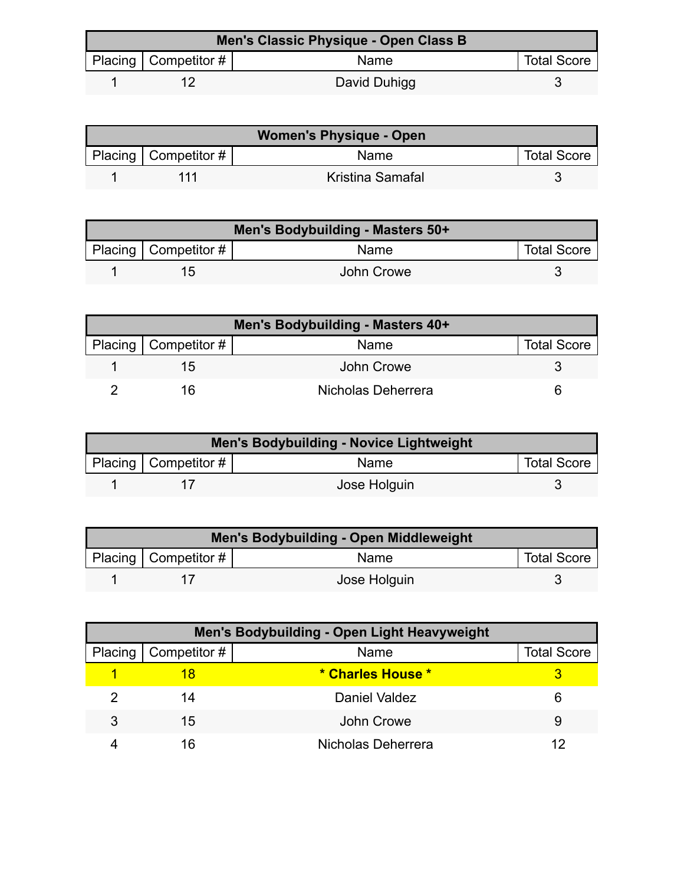| Men's Classic Physique - Open Class B |                          |              |                    |  |
|---------------------------------------|--------------------------|--------------|--------------------|--|
|                                       | Placing   Competitor $#$ | Name         | <b>Total Score</b> |  |
|                                       |                          | David Duhigg |                    |  |

| <b>Women's Physique - Open</b> |                           |                  |                    |  |
|--------------------------------|---------------------------|------------------|--------------------|--|
|                                | Placing   Competitor $\#$ | Name             | <b>Total Score</b> |  |
|                                | 111                       | Kristina Samafal |                    |  |

| Men's Bodybuilding - Masters 50+ |                           |             |                    |  |
|----------------------------------|---------------------------|-------------|--------------------|--|
|                                  | Placing   Competitor $\#$ | <b>Name</b> | <b>Total Score</b> |  |
|                                  | 1 <sub>h</sub>            | John Crowe  |                    |  |

| Men's Bodybuilding - Masters 40+ |                        |                    |                    |  |
|----------------------------------|------------------------|--------------------|--------------------|--|
|                                  | Placing   Competitor # | Name               | <b>Total Score</b> |  |
|                                  | $15 -$                 | John Crowe         |                    |  |
|                                  | ۱ĥ                     | Nicholas Deherrera |                    |  |

| <b>Men's Bodybuilding - Novice Lightweight</b> |                        |              |                    |  |
|------------------------------------------------|------------------------|--------------|--------------------|--|
|                                                | Placing   Competitor # | <b>Name</b>  | <b>Total Score</b> |  |
|                                                |                        | Jose Holguin |                    |  |

| Men's Bodybuilding - Open Middleweight |                        |              |                    |  |
|----------------------------------------|------------------------|--------------|--------------------|--|
|                                        | Placing   Competitor # | Name         | <b>Total Score</b> |  |
|                                        |                        | Jose Holguin |                    |  |

|         | Men's Bodybuilding - Open Light Heavyweight |                    |                    |  |  |
|---------|---------------------------------------------|--------------------|--------------------|--|--|
| Placing | Competitor #                                | Name               | <b>Total Score</b> |  |  |
|         | 18                                          | * Charles House *  |                    |  |  |
|         | 14                                          | Daniel Valdez      | 6                  |  |  |
| 3       | 15                                          | John Crowe         | 9                  |  |  |
|         | 16                                          | Nicholas Deherrera | 12                 |  |  |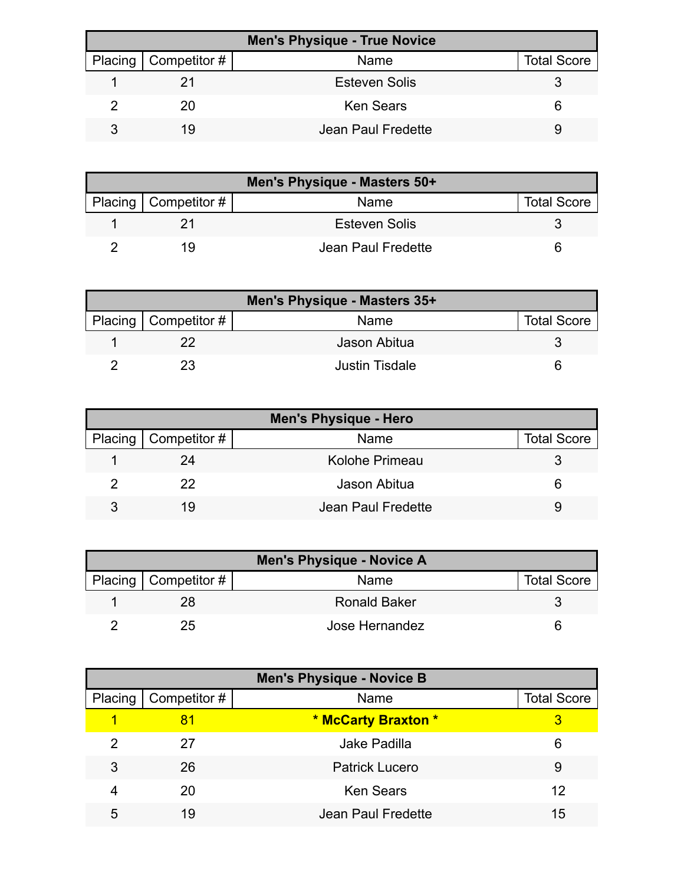| <b>Men's Physique - True Novice</b> |                        |                      |                    |  |
|-------------------------------------|------------------------|----------------------|--------------------|--|
|                                     | Placing   Competitor # | Name                 | <b>Total Score</b> |  |
|                                     |                        | <b>Esteven Solis</b> |                    |  |
|                                     | 20                     | <b>Ken Sears</b>     |                    |  |
|                                     | 19                     | Jean Paul Fredette   |                    |  |

| Men's Physique - Masters 50+ |                      |                    |  |  |
|------------------------------|----------------------|--------------------|--|--|
| Placing   Competitor #       | Name                 | <b>Total Score</b> |  |  |
|                              | <b>Esteven Solis</b> |                    |  |  |
| 1 Q                          | Jean Paul Fredette   |                    |  |  |

| Men's Physique - Masters 35+ |                        |                |                    |  |
|------------------------------|------------------------|----------------|--------------------|--|
|                              | Placing   Competitor # | Name           | <b>Total Score</b> |  |
|                              |                        | Jason Abitua   |                    |  |
|                              |                        | Justin Tisdale |                    |  |

| <b>Men's Physique - Hero</b> |                              |                    |                    |  |
|------------------------------|------------------------------|--------------------|--------------------|--|
|                              | Placing $\vert$ Competitor # | Name               | <b>Total Score</b> |  |
|                              | 24                           | Kolohe Primeau     |                    |  |
|                              | 22                           | Jason Abitua       | 6                  |  |
|                              | 19                           | Jean Paul Fredette |                    |  |

| <b>Men's Physique - Novice A</b> |                        |                     |                    |  |
|----------------------------------|------------------------|---------------------|--------------------|--|
|                                  | Placing   Competitor # | <b>Name</b>         | <b>Total Score</b> |  |
|                                  | 28                     | <b>Ronald Baker</b> |                    |  |
|                                  | 25                     | Jose Hernandez      |                    |  |

| <b>Men's Physique - Novice B</b> |              |                       |                    |
|----------------------------------|--------------|-----------------------|--------------------|
| Placing                          | Competitor # | Name                  | <b>Total Score</b> |
|                                  | 81           | * McCarty Braxton *   | 3                  |
| 2                                | 27           | Jake Padilla          | 6                  |
| 3                                | 26           | <b>Patrick Lucero</b> | 9                  |
| 4                                | 20           | <b>Ken Sears</b>      | 12                 |
| 5                                | 19           | Jean Paul Fredette    | 15                 |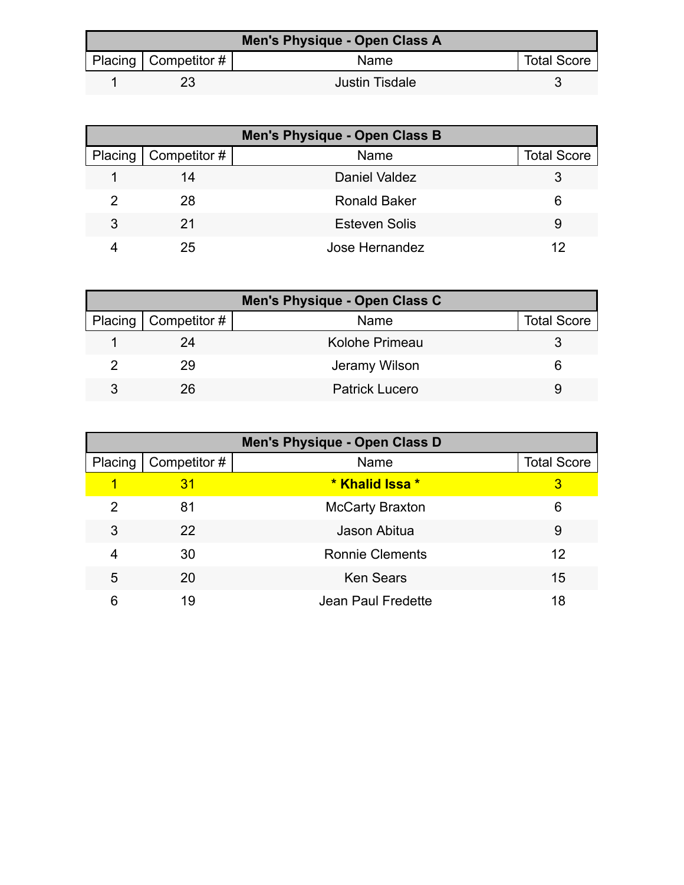| Men's Physique - Open Class A |                           |                |                    |  |
|-------------------------------|---------------------------|----------------|--------------------|--|
|                               | Placing   Competitor $\#$ | Name           | <b>Total Score</b> |  |
|                               |                           | Justin Tisdale |                    |  |

| Men's Physique - Open Class B |                        |                      |                    |
|-------------------------------|------------------------|----------------------|--------------------|
|                               | Placing   Competitor # | Name                 | <b>Total Score</b> |
|                               | 14                     | <b>Daniel Valdez</b> |                    |
|                               | 28                     | <b>Ronald Baker</b>  | 6                  |
| 3                             | 21                     | <b>Esteven Solis</b> | 9                  |
|                               | 25                     | Jose Hernandez       |                    |

| Men's Physique - Open Class C |                              |                       |                    |  |
|-------------------------------|------------------------------|-----------------------|--------------------|--|
|                               | Placing $\vert$ Competitor # | Name                  | <b>Total Score</b> |  |
|                               | 24                           | Kolohe Primeau        |                    |  |
|                               | 29                           | Jeramy Wilson         |                    |  |
| 3                             | 26                           | <b>Patrick Lucero</b> |                    |  |

| Men's Physique - Open Class D |              |                        |                    |  |
|-------------------------------|--------------|------------------------|--------------------|--|
| Placing                       | Competitor # | Name                   | <b>Total Score</b> |  |
|                               | 31           | * Khalid Issa *        | 3                  |  |
| 2                             | 81           | <b>McCarty Braxton</b> | 6                  |  |
| 3                             | 22           | Jason Abitua           | 9                  |  |
| 4                             | 30           | <b>Ronnie Clements</b> | 12                 |  |
| 5                             | 20           | <b>Ken Sears</b>       | 15                 |  |
| 6                             | 19           | Jean Paul Fredette     | 18                 |  |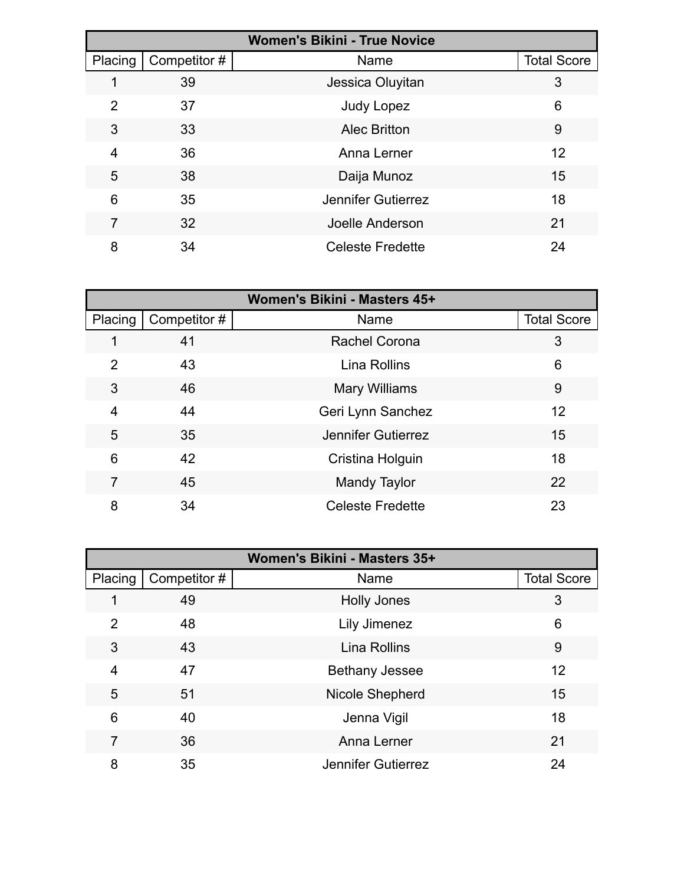| <b>Women's Bikini - True Novice</b> |              |                         |                    |
|-------------------------------------|--------------|-------------------------|--------------------|
| Placing                             | Competitor # | Name                    | <b>Total Score</b> |
|                                     | 39           | Jessica Oluyitan        | 3                  |
| 2                                   | 37           | <b>Judy Lopez</b>       | 6                  |
| 3                                   | 33           | <b>Alec Britton</b>     | 9                  |
| 4                                   | 36           | Anna Lerner             | 12                 |
| 5                                   | 38           | Daija Munoz             | 15                 |
| 6                                   | 35           | Jennifer Gutierrez      | 18                 |
| 7                                   | 32           | Joelle Anderson         | 21                 |
| 8                                   | 34           | <b>Celeste Fredette</b> | 24                 |

| Women's Bikini - Masters 45+ |              |                           |                    |
|------------------------------|--------------|---------------------------|--------------------|
| Placing                      | Competitor # | Name                      | <b>Total Score</b> |
|                              | 41           | <b>Rachel Corona</b>      | 3                  |
| $\overline{2}$               | 43           | Lina Rollins              | 6                  |
| 3                            | 46           | <b>Mary Williams</b>      | 9                  |
| 4                            | 44           | Geri Lynn Sanchez         | 12                 |
| 5                            | 35           | <b>Jennifer Gutierrez</b> | 15                 |
| 6                            | 42           | Cristina Holguin          | 18                 |
| 7                            | 45           | <b>Mandy Taylor</b>       | 22                 |
| 8                            | 34           | <b>Celeste Fredette</b>   | 23                 |

| Women's Bikini - Masters 35+ |              |                       |                    |
|------------------------------|--------------|-----------------------|--------------------|
| Placing                      | Competitor # | Name                  | <b>Total Score</b> |
|                              | 49           | <b>Holly Jones</b>    | 3                  |
| 2                            | 48           | Lily Jimenez          | 6                  |
| 3                            | 43           | Lina Rollins          | 9                  |
| 4                            | 47           | <b>Bethany Jessee</b> | 12                 |
| 5                            | 51           | Nicole Shepherd       | 15                 |
| 6                            | 40           | Jenna Vigil           | 18                 |
| 7                            | 36           | Anna Lerner           | 21                 |
| 8                            | 35           | Jennifer Gutierrez    | 24                 |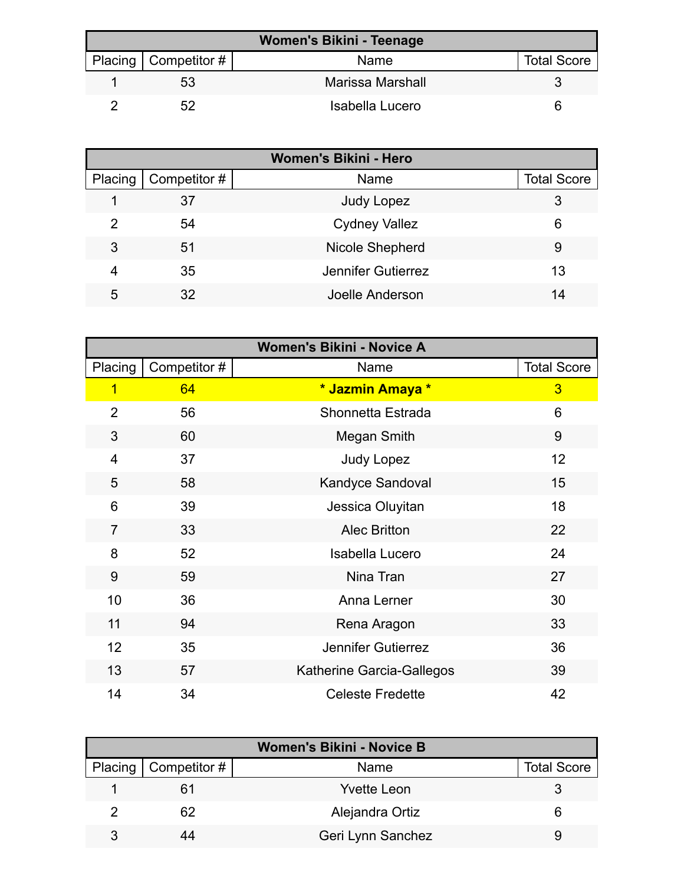| <b>Women's Bikini - Teenage</b> |                          |                  |                    |
|---------------------------------|--------------------------|------------------|--------------------|
|                                 | Placing   Competitor $#$ | Name             | <b>Total Score</b> |
|                                 | 53                       | Marissa Marshall |                    |
|                                 | 52                       | Isabella Lucero  |                    |

| <b>Women's Bikini - Hero</b> |              |                        |                    |
|------------------------------|--------------|------------------------|--------------------|
| Placing                      | Competitor # | Name                   | <b>Total Score</b> |
|                              | 37           | <b>Judy Lopez</b>      | 3                  |
| 2                            | 54           | <b>Cydney Vallez</b>   | 6                  |
| 3                            | 51           | <b>Nicole Shepherd</b> | 9                  |
| 4                            | 35           | Jennifer Gutierrez     | 13                 |
| 5                            | 32           | Joelle Anderson        | 14                 |

| <b>Women's Bikini - Novice A</b> |              |                           |                    |
|----------------------------------|--------------|---------------------------|--------------------|
| Placing                          | Competitor # | Name                      | <b>Total Score</b> |
| 1                                | 64           | * Jazmin Amaya *          | $\overline{3}$     |
| $\overline{2}$                   | 56           | Shonnetta Estrada         | 6                  |
| 3                                | 60           | Megan Smith               | 9                  |
| 4                                | 37           | <b>Judy Lopez</b>         | 12 <sub>2</sub>    |
| 5                                | 58           | Kandyce Sandoval          | 15                 |
| 6                                | 39           | Jessica Oluyitan          | 18                 |
| $\overline{7}$                   | 33           | <b>Alec Britton</b>       | 22                 |
| 8                                | 52           | <b>Isabella Lucero</b>    | 24                 |
| 9                                | 59           | Nina Tran                 | 27                 |
| 10                               | 36           | Anna Lerner               | 30                 |
| 11                               | 94           | Rena Aragon               | 33                 |
| 12 <sub>2</sub>                  | 35           | Jennifer Gutierrez        | 36                 |
| 13                               | 57           | Katherine Garcia-Gallegos | 39                 |
| 14                               | 34           | <b>Celeste Fredette</b>   | 42                 |

| <b>Women's Bikini - Novice B</b> |                        |                    |                    |  |
|----------------------------------|------------------------|--------------------|--------------------|--|
|                                  | Placing   Competitor # | Name               | <b>Total Score</b> |  |
|                                  | 61                     | <b>Yvette Leon</b> |                    |  |
|                                  | 62                     | Alejandra Ortiz    |                    |  |
|                                  | 44                     | Geri Lynn Sanchez  |                    |  |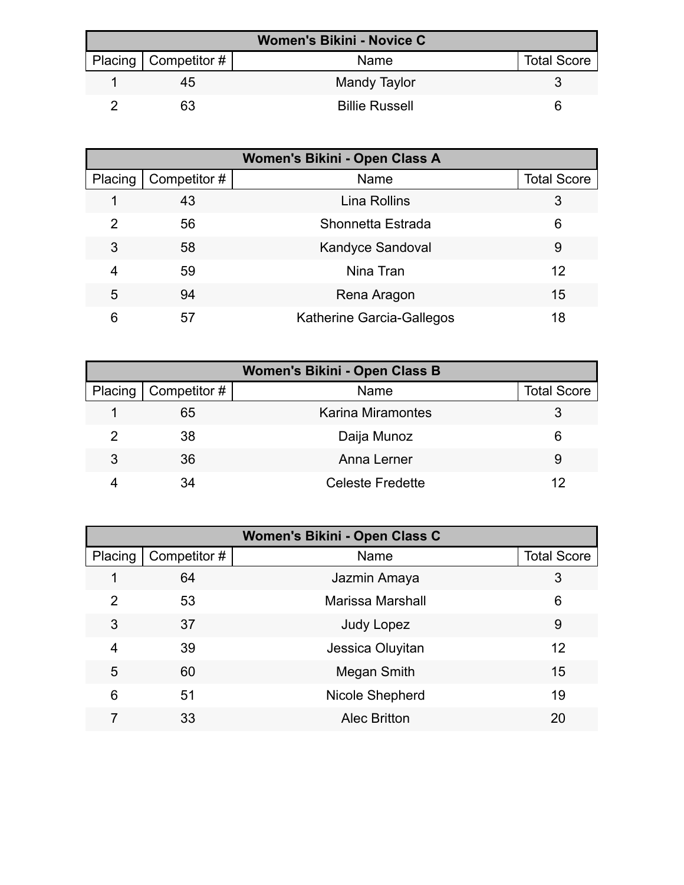| Women's Bikini - Novice C |                          |                       |                    |  |
|---------------------------|--------------------------|-----------------------|--------------------|--|
|                           | Placing   Competitor $#$ | Name                  | <b>Total Score</b> |  |
|                           | 45                       | Mandy Taylor          |                    |  |
|                           | 63                       | <b>Billie Russell</b> |                    |  |

| Women's Bikini - Open Class A |              |                           |                    |
|-------------------------------|--------------|---------------------------|--------------------|
| Placing                       | Competitor # | Name                      | <b>Total Score</b> |
|                               | 43           | Lina Rollins              | 3                  |
| 2                             | 56           | Shonnetta Estrada         | 6                  |
| 3                             | 58           | <b>Kandyce Sandoval</b>   | 9                  |
| 4                             | 59           | Nina Tran                 | 12                 |
| 5                             | 94           | Rena Aragon               | 15                 |
| 6                             | 57           | Katherine Garcia-Gallegos | 18                 |

| Women's Bikini - Open Class B |                     |                          |                    |  |
|-------------------------------|---------------------|--------------------------|--------------------|--|
| Placing                       | $\mid$ Competitor # | Name                     | <b>Total Score</b> |  |
|                               | 65                  | <b>Karina Miramontes</b> |                    |  |
|                               | 38                  | Daija Munoz              | 6                  |  |
| 3                             | 36                  | Anna Lerner              | 9                  |  |
|                               | 34                  | <b>Celeste Fredette</b>  | 12                 |  |

| Women's Bikini - Open Class C |              |                         |                    |
|-------------------------------|--------------|-------------------------|--------------------|
| Placing                       | Competitor # | Name                    | <b>Total Score</b> |
| 1                             | 64           | Jazmin Amaya            | 3                  |
| 2                             | 53           | <b>Marissa Marshall</b> | 6                  |
| 3                             | 37           | <b>Judy Lopez</b>       | 9                  |
| 4                             | 39           | Jessica Oluyitan        | 12                 |
| 5                             | 60           | Megan Smith             | 15                 |
| 6                             | 51           | Nicole Shepherd         | 19                 |
|                               | 33           | <b>Alec Britton</b>     | 20                 |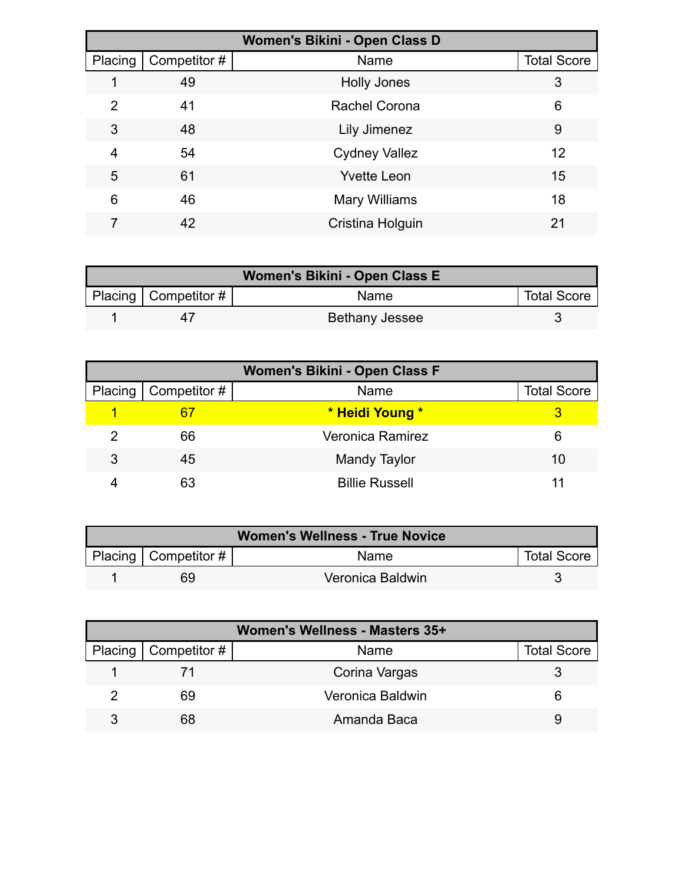| Women's Bikini - Open Class D |              |                      |                    |  |
|-------------------------------|--------------|----------------------|--------------------|--|
| Placing                       | Competitor # | Name                 | <b>Total Score</b> |  |
|                               | 49           | <b>Holly Jones</b>   | 3                  |  |
| 2                             | 41           | <b>Rachel Corona</b> | 6                  |  |
| 3                             | 48           | Lily Jimenez         | 9                  |  |
| 4                             | 54           | <b>Cydney Vallez</b> | 12                 |  |
| 5                             | 61           | <b>Yvette Leon</b>   | 15                 |  |
| 6                             | 46           | <b>Mary Williams</b> | 18                 |  |
|                               | 42           | Cristina Holguin     | 21                 |  |

| Women's Bikini - Open Class E |                        |                |                    |  |
|-------------------------------|------------------------|----------------|--------------------|--|
|                               | Placing   Competitor # | <b>Name</b>    | <b>Total Score</b> |  |
|                               |                        | Bethany Jessee |                    |  |

| Women's Bikini - Open Class F |                          |                       |                    |  |
|-------------------------------|--------------------------|-----------------------|--------------------|--|
|                               | Placing   Competitor $#$ | Name                  | <b>Total Score</b> |  |
|                               | 67                       | * Heidi Young *       |                    |  |
|                               | 66                       | Veronica Ramirez      | 6                  |  |
| 3                             | 45                       | <b>Mandy Taylor</b>   | 10                 |  |
|                               | 63                       | <b>Billie Russell</b> |                    |  |

| <b>Women's Wellness - True Novice</b> |                        |                  |                    |  |
|---------------------------------------|------------------------|------------------|--------------------|--|
|                                       | Placing   Competitor # | <b>Name</b>      | <b>Total Score</b> |  |
|                                       | 69                     | Veronica Baldwin |                    |  |

| Women's Wellness - Masters 35+ |                              |                  |                    |  |
|--------------------------------|------------------------------|------------------|--------------------|--|
|                                | Placing $\vert$ Competitor # | Name             | <b>Total Score</b> |  |
|                                |                              | Corina Vargas    |                    |  |
|                                | 69                           | Veronica Baldwin |                    |  |
|                                | 68                           | Amanda Baca      |                    |  |